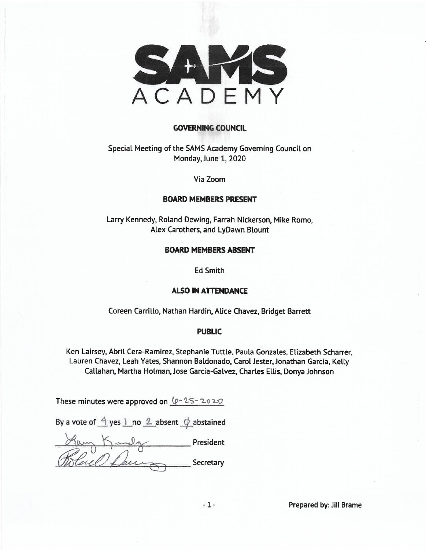

#### **GOVERNING COUNCIL**

Special Meeting of the SAMS Academy Governing Council on Monday, June 1, 2020

Via Zoom

#### **BOARD MEMBERS PRESENT**

Larry Kennedy, Roland Dewing, Farrah Nickerson, Mike Romo, Alex Carothers, and LyDawn Blount

#### **BOARD MEMBERS ABSENT**

**Ed Smith** 

#### **ALSO IN ATTENDANCE**

Coreen Carrillo, Nathan Hardin, Alice Chavez, Bridget Barrett

#### **PUBLIC**

Ken Lairsey, Abril Cera-Ramirez, Stephanie Tuttle, Paula Gonzales, Elizabeth Scharrer, Lauren Chavez, Leah Yates, Shannon Baldonado, Carol Jester, Jonathan Garcia, Kelly Callahan, Martha Holman, Jose Garcia-Galvez, Charles Ellis, Donya Johnson

These minutes were approved on  $(p - 2S - 2020)$ 

By a vote of  $\frac{4}{1}$  yes  $\frac{1}{1}$  no  $\frac{2}{1}$  absent  $\frac{1}{1}$  abstained

President )<br>es e l Secretary

Prepared by: Jill Brame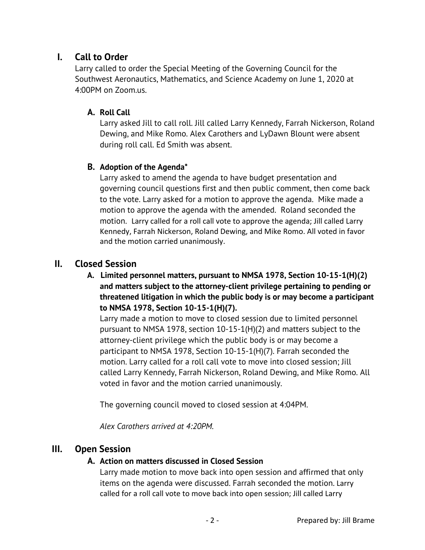# **I. Call to Order**

Larry called to order the Special Meeting of the Governing Council for the Southwest Aeronautics, Mathematics, and Science Academy on June 1, 2020 at 4:00PM on Zoom.us.

### **A. Roll Call**

Larry asked Jill to call roll. Jill called Larry Kennedy, Farrah Nickerson, Roland Dewing, and Mike Romo. Alex Carothers and LyDawn Blount were absent during roll call. Ed Smith was absent.

### **B. Adoption of the Agenda\***

Larry asked to amend the agenda to have budget presentation and governing council questions first and then public comment, then come back to the vote. Larry asked for a motion to approve the agenda. Mike made a motion to approve the agenda with the amended. Roland seconded the motion. Larry called for a roll call vote to approve the agenda; Jill called Larry Kennedy, Farrah Nickerson, Roland Dewing, and Mike Romo. All voted in favor and the motion carried unanimously.

## **II. Closed Session**

### **A. Limited personnel matters, pursuant to NMSA 1978, Section 10-15-1(H)(2) and matters subject to the attorney-client privilege pertaining to pending or threatened litigation in which the public body is or may become a participant to NMSA 1978, Section 10-15-1(H)(7).**

Larry made a motion to move to closed session due to limited personnel pursuant to NMSA 1978, section 10-15-1(H)(2) and matters subject to the attorney-client privilege which the public body is or may become a participant to NMSA 1978, Section 10-15-1(H)(7). Farrah seconded the motion. Larry called for a roll call vote to move into closed session; Jill called Larry Kennedy, Farrah Nickerson, Roland Dewing, and Mike Romo. All voted in favor and the motion carried unanimously.

The governing council moved to closed session at 4:04PM.

*Alex Carothers arrived at 4:20PM.* 

## **III. Open Session**

#### **A. Action on matters discussed in Closed Session**

Larry made motion to move back into open session and affirmed that only items on the agenda were discussed. Farrah seconded the motion. Larry called for a roll call vote to move back into open session; Jill called Larry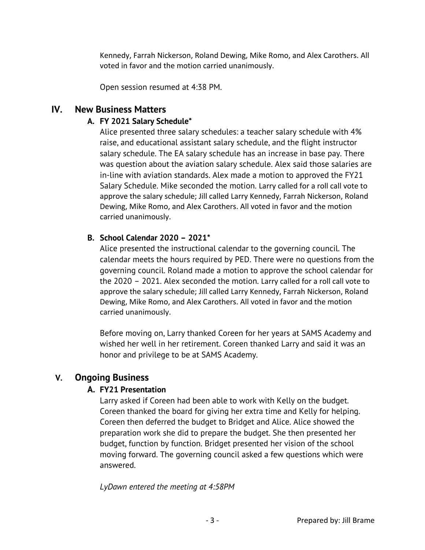Kennedy, Farrah Nickerson, Roland Dewing, Mike Romo, and Alex Carothers. All voted in favor and the motion carried unanimously.

Open session resumed at 4:38 PM.

## **IV. New Business Matters**

## **A. FY 2021 Salary Schedule\***

Alice presented three salary schedules: a teacher salary schedule with 4% raise, and educational assistant salary schedule, and the flight instructor salary schedule. The EA salary schedule has an increase in base pay. There was question about the aviation salary schedule. Alex said those salaries are in-line with aviation standards. Alex made a motion to approved the FY21 Salary Schedule. Mike seconded the motion. Larry called for a roll call vote to approve the salary schedule; Jill called Larry Kennedy, Farrah Nickerson, Roland Dewing, Mike Romo, and Alex Carothers. All voted in favor and the motion carried unanimously.

### **B. School Calendar 2020 – 2021\***

Alice presented the instructional calendar to the governing council. The calendar meets the hours required by PED. There were no questions from the governing council. Roland made a motion to approve the school calendar for the 2020 – 2021. Alex seconded the motion. Larry called for a roll call vote to approve the salary schedule; Jill called Larry Kennedy, Farrah Nickerson, Roland Dewing, Mike Romo, and Alex Carothers. All voted in favor and the motion carried unanimously.

Before moving on, Larry thanked Coreen for her years at SAMS Academy and wished her well in her retirement. Coreen thanked Larry and said it was an honor and privilege to be at SAMS Academy.

# **V. Ongoing Business**

## **A. FY21 Presentation**

Larry asked if Coreen had been able to work with Kelly on the budget. Coreen thanked the board for giving her extra time and Kelly for helping. Coreen then deferred the budget to Bridget and Alice. Alice showed the preparation work she did to prepare the budget. She then presented her budget, function by function. Bridget presented her vision of the school moving forward. The governing council asked a few questions which were answered.

*LyDawn entered the meeting at 4:58PM*